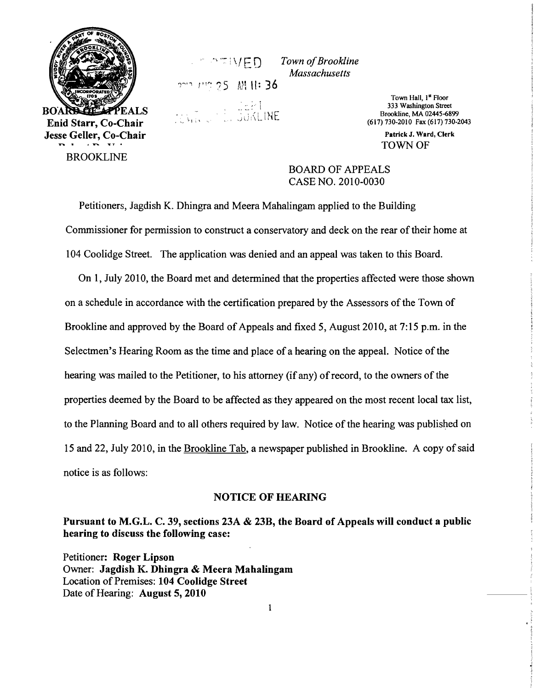

<sup>I</sup>w~ ? 5 M" II: 36

" ..-: . , './ \ F 0 *Town ofBrookline Massachusetts* 

> Town Hall, 1<sup>st</sup> Floor<br>333 Washington Street  $\therefore$   $\therefore$   $\therefore$   $\therefore$   $\therefore$   $\therefore$   $\therefore$   $\therefore$   $\therefore$   $\therefore$   $\therefore$   $\therefore$   $\therefore$   $\therefore$   $\therefore$   $\therefore$   $\therefore$   $\therefore$   $\therefore$   $\therefore$   $\therefore$   $\therefore$   $\therefore$   $\therefore$   $\therefore$   $\therefore$   $\therefore$   $\therefore$   $\therefore$   $\therefore$   $\therefore$   $\therefore$   $\therefore$   $\therefore$   $\therefore$   $\therefore$   $\therefore$ (617) 730-2010 Fax (617) 730-2043

> > Patrick J. Ward, Clerk TOWN OF

BOARD OF APPEALS CASE NO. 2010-0030

Petitioners, Jagdish K. Dhingra and Meera Mahalingam applied to the Building Commissioner for permission to construct a conservatory and deck on the rear of their home at 104 Coolidge Street. The application was denied and an appeal was taken to this Board.

On 1, July 2010, the Board met and determined that the properties affected were those shown on a schedule in accordance with the certification prepared by the Assessors of the Town of Brookline and approved by the Board of Appeals and fixed 5, August 2010, at 7:15 p.m. in the Selectmen's Hearing Room as the time and place of a hearing on the appeal. Notice of the hearing was mailed to the Petitioner, to his attorney (if any) of record, to the owners of the properties deemed by the Board to be affected as they appeared on the most recent local tax list, to the Planning Board and to all others required by law. Notice of the hearing was published on 15 and 22, July 2010, in the Brookline Tab, a newspaper published in Brookline. A copy ofsaid notice is as follows:

## NOTICE OF HEARING

Pursuant to M.G.L. C. 39, sections 23A & 23B, the Board of Appeals will conduct a public hearing to discuss the following case:

Petitioner: Roger Lipson Owner: Jagdish K. Dhingra & Meera Mahalingam Location of Premises: 104 Coolidge Street Date of Hearing: August 5, 2010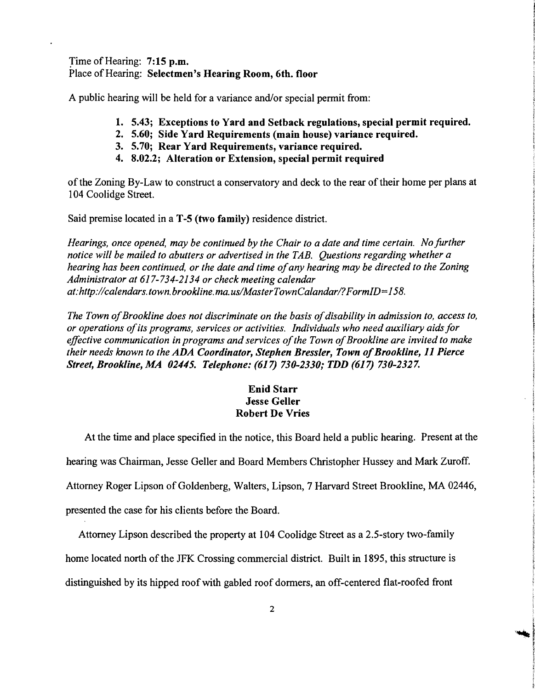Time of Hearing: 7:15 p.m. Place of Hearing: Selectmen's Hearing Room, 6th. floor

A public hearing will be held for a variance and/or special permit from:

- 1. 5.43; Exceptions to Yard and Setback regulations, special permit required.
- 2. 5.60; Side Yard Requirements (main house) variance required.
- 3. 5.70; Rear Yard Requirements, variance required.
- 4. 8.02.2; Alteration or Extension, special permit required

of the Zoning By-Law to construct a conservatory and deck to the rear of their home per plans at 104 Coolidge Street.

Said premise located in a T-5 (two family) residence district.

*Hearings, once opened, may be continued by the Chair to a date and time certain. No further notice will be mailed to abutters or advertised in the TAB. Questions regarding whether a hearing has been continued, or the date and time ofany hearing may be directed to the Zoning Administrator at* 617-734-2134 *or check meeting calendar at:http://calendars. town. brookline. ma. uslMasterTownCalandarl?FormID=158.* 

The Town of Brookline does not discriminate on the basis of disability in admission to, access to, *or operations ofits programs, services or activities. Individuals who need auxiliary aids for*  effective communication in programs and services of the Town of Brookline are invited to make *their needs known to the ADA Coordinator, Stephen Bressler, Town of Brookline, 11 Pierce Street, Brookline, MA 02445. Telephone:* (617) *730-2330; TDD* (617) *730-2327.* 

## Enid Starr Jesse Geller Robert De Vries

At the time and place specified in the notice, this Board held a public hearing. Present at the hearing was Chairman, Jesse Geller and Board Members Christopher Hussey and Mark Zuroff. Attorney Roger Lipson of Goldenberg, Walters, Lipson, 7 Harvard Street Brookline, MA 02446, presented the case for his clients before the Board.

Attorney Lipson described the property at 104 Coolidge Street as a 2.5-story two-family home located north of the JFK Crossing commercial district. Built in 1895, this structure is distinguished by its hipped roof with gabled roof dormers, an off-centered flat-roofed front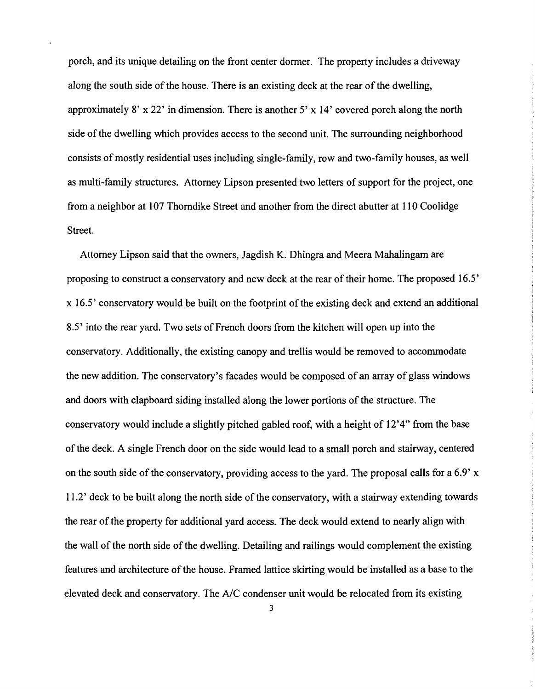porch, and its unique detailing on the front center dormer. The property includes a driveway along the south side of the house. There is an existing deck at the rear of the dwelling, approximately 8' x 22' in dimension. There is another 5' x 14' covered porch along the north side of the dwelling which provides access to the second unit. The surrounding neighborhood consists of mostly residential uses including single-family, row and two-family houses, as well as multi-family structures. Attorney Lipson presented two letters of support for the project, one from a neighbor at 107 Thorndike Street and another from the direct abutter at **110** Coolidge Street.

Attorney Lipson said that the owners, Jagdish K. Dhingra and Meera Mahalingam are proposing to construct a conservatory and new deck at the rear of their home. The proposed 16.5' x 16.5' conservatory would be built on the footprint of the existing deck and extend an additional 8.5' into the rear yard. Two sets of French doors from the kitchen will open up into the conservatory. Additionally, the existing canopy and trellis would be removed to accommodate the new addition. The conservatory's facades would be composed of an array of glass windows and doors with clapboard siding installed along the lower portions of the structure. The conservatory would include a slightly pitched gabled roof, with a height of 12'4" from the base ofthe deck. A single French door on the side would lead to a small porch and stairway, centered on the south side of the conservatory, providing access to the yard. The proposal calls for a 6.9' x 11.2' deck to be built along the north side of the conservatory, with a stairway extending towards the rear of the property for additional yard access. The deck would extend to nearly align with the wall of the north side of the dwelling. Detailing and railings would complement the existing features and architecture of the house. Framed lattice skirting would be installed as a base to the elevated deck and conservatory. The *AlC* condenser unit would be relocated from its existing

3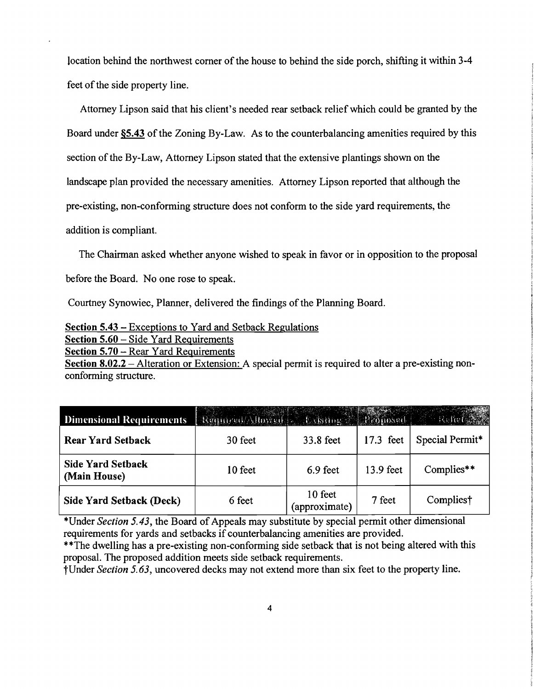location behind the northwest corner of the house to behind the side porch, shifting it within 3-4 feet of the side property line.

Attorney Lipson said that his client's needed rear setback relief which could be granted by the Board under  $\S$ 5.43 of the Zoning By-Law. As to the counterbalancing amenities required by this section of the By-Law, Attorney Lipson stated that the extensive plantings shown on the landscape plan provided the necessary amenities. Attorney Lipson reported that although the pre-existing, non-conforming structure does not conform to the side yard requirements, the addition is compliant.

The Chairman asked whether anyone wished to speak in favor or in opposition to the proposal before the Board. No one rose to speak.

Courtney Synowiec, Planner, delivered the findings of the Planning Board.

Section 5.43 - Exceptions to Yard and Setback Regulations

Section 5.60 - Side Yard Requirements

Section 5.70 - Rear Yard Requirements

Section 8.02.2 – Alteration or Extension: A special permit is required to alter a pre-existing nonconforming structure.

| <b>Dimensional Requirements</b>          | Required Allowed Concerning Chanoned |                          |           |                       |
|------------------------------------------|--------------------------------------|--------------------------|-----------|-----------------------|
| <b>Rear Yard Setback</b>                 | 30 feet                              | 33.8 feet                | 17.3 feet | Special Permit*       |
| <b>Side Yard Setback</b><br>(Main House) | 10 feet                              | 6.9 feet                 | 13.9 feet | Complies**            |
| Side Yard Setback (Deck)                 | 6 feet                               | 10 feet<br>(approximate) | 7 feet    | Complies <sup>†</sup> |

\*Under *Section 5.43*, the Board of Appeals may substitute by special permit other dimensional requirements for yards and setbacks if counterbalancing amenities are provided.

\*\*The dwelling has a pre-existing non-conforming side setback that is not being altered with this proposal. The proposed addition meets side setback requirements.

tUnder *Section* 5.63, uncovered decks may not extend more than six feet to the property line.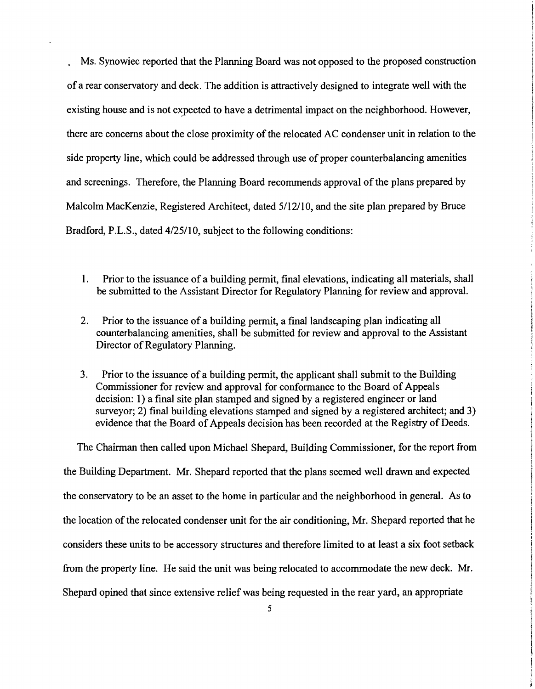· Ms. Synowiec reported that the Planning Board was not opposed to the proposed construction of a rear conservatory and deck. The addition is attractively designed to integrate well with the existing house and is not expected to have a detrimental impact on the neighborhood. However, there are concerns about the close proximity of the relocated AC condenser unit in relation to the side property line, which could be addressed through use of proper counterbalancing amenities and screenings. Therefore, the Planning Board recommends approval of the plans prepared by Malcolm MacKenzie, Registered Architect, dated 5112110, and the site plan prepared by Bruce Bradford, P.L.S., dated 4/25/10, subject to the following conditions:

- 1. Prior to the issuance of a building permit, final elevations, indicating all materials, shall be submitted to the Assistant Director for Regulatory Planning for review and approval.
- 2. Prior to the issuance of a building permit, a final landscaping plan indicating all counterbalancing amenities, shall be submitted for review and approval to the Assistant Director of Regulatory Planning.
- 3. Prior to the issuance of a building permit, the applicant shall submit to the Building Commissioner for review and approval for conformance to the Board of Appeals decision: 1) a final site plan stamped and signed by a registered engineer or land surveyor; 2) final building elevations stamped and signed by a registered architect; and 3) evidence that the Board of Appeals decision has been recorded at the Registry of Deeds.

The Chairman then called upon Michael Shepard, Building Commissioner, for the report from the Building Department. Mr. Shepard reported that the plans seemed well drawn and expected the conservatory to be an asset to the home in particular and the neighborhood in general. As to the location of the relocated condenser unit for the air conditioning, Mr. Shepard reported that he considers these units to be accessory structures and therefore limited to at least a six foot setback from the property line. He said the unit was being relocated to accommodate the new deck. Mr. Shepard opined that since extensive relief was being requested in the rear yard, an appropriate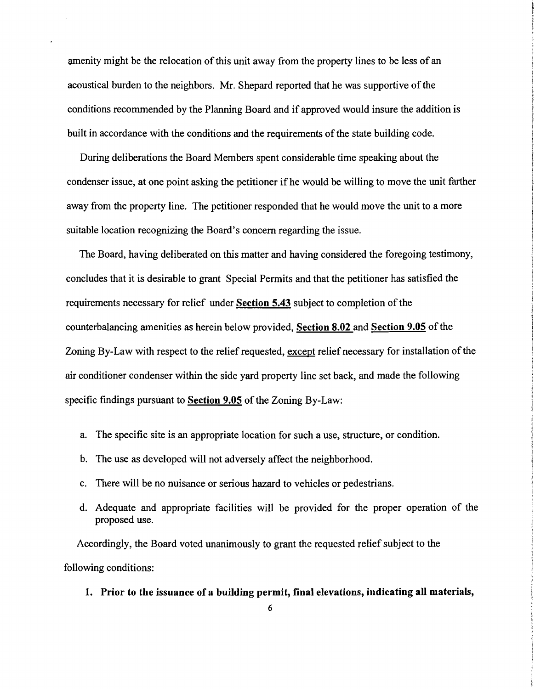amenity might be the relocation of this unit away from the property lines to be less of an acoustical burden to the neighbors. Mr. Shepard reported that he was supportive of the conditions recommended by the Planning Board and if approved would insure the addition is built in accordance with the conditions and the requirements of the state building code.

During deliberations the Board Members spent considerable time speaking about the condenser issue, at one point asking the petitioner if he would be willing to move the unit farther away from the property line. The petitioner responded that he would move the unit to a more suitable location recognizing the Board's concern regarding the issue.

The Board, having deliberated on this matter and having considered the foregoing testimony, concludes that it is desirable to grant Special Permits and that the petitioner has satisfied the requirements necessary for relief under **Section 5.43** subject to completion of the counterbalancing amenities as herein below provided, Section 8.02 and Section 9.05 of the Zoning By-Law with respect to the relief requested, except relief necessary for installation of the air conditioner condenser within the side yard property line set back, and made the following specific findings pursuant to **Section 9.05** of the Zoning By-Law:

- a. The specific site is an appropriate location for such a use, structure, or condition.
- b. The use as developed will not adversely affect the neighborhood.
- c. There will be no nuisance or serious hazard to vehicles or pedestrians.
- d. Adequate and appropriate facilities will be provided for the proper operation of the proposed use.

Accordingly, the Board voted unanimously to grant the requested relief subject to the following conditions:

**1. Prior to the issuance of a building permit, final elevations, indicating all materials,**